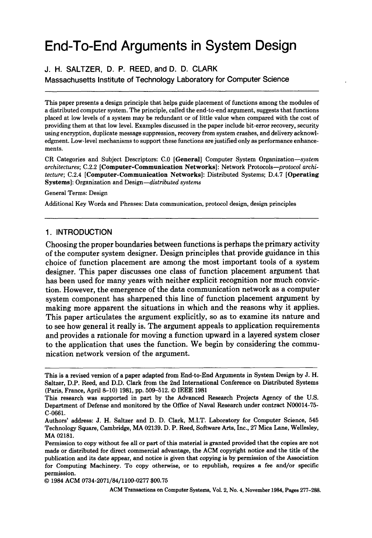# **End-To-End Arguments in System Design**

# **J. H. SALTZER, D. P. REED, and D. D. CLARK Massachusetts Institute of Technology Laboratory for Computer Science**

This paper presents a design principle that helps guide placement of functions among the modules of a distributed computer system. The principle, called the end-to-end argument, suggests that functions placed at low levels of a system may be redundant or of little value when compared with the cost of providing them at that low level. Examples discussed in the paper include bit-error recovery, security using encryption, duplicate message suppression, recovery from system crashes, and delivery acknowledgment. Low-level mechanisms to support these functions are justified only as performance enhancements.

CR Categories and Subject Descriptors: C.0 [General] Computer System *Organization--system architectures;* C.2.2 [Computer-Communication Networks]: Network *Protocols--protocol architecture;* C.2.4 [Computer-Communication Networks]: Distributed Systems; D.4.7 **[Operating Systems]:** Organization and *Design--distributed systems* 

#### General Terms: Design

Additional Key Words and Phrases: Data communication, protocol design, design principles

## **1.** INTRODUCTION

Choosing the proper boundaries between functions is perhaps the primary activity of the computer system designer. Design principles that provide guidance in this choice of function placement are among the most important tools of a system designer. This paper discusses one class of function placement argument that has been used for many years with neither explicit recognition nor much conviction. However, the emergence of the data communication network as a computer system component has sharpened this line of function placement argument by making more apparent the situations in which and the reasons why it applies. This paper articulates the argument explicitly, so as to examine its nature and to see how general it really is. The argument appeals to application requirements and provides a rationale for moving a function upward in a layered system closer to the application that uses the function. We begin by considering the communication network version of the argument.

© 1984 ACM 0734-2071/84/1100-0277 \$00.75

ACM **Transactions on** Computer Systems, Vol. 2, No. 4, November 1984, Pages 277-288.

This **is a** revised version of a paper adapted from End-to-End Arguments in System Design by J. H. Saltzer, D.P. Reed, and D.D. Clark from the 2nd International Conference on Distributed Systems (Paris, France, April 8-10) 1981, pp. 509-512. © IEEE 1981

This research was supported in part by the Advanced Research Projects Agency of the U.S. Department of Defense and monitored by the Office of Naval Research under contract N00014-75- C-0661.

Authors' address: J. H. Saltzer and D. D. Clark, M.I.T. Laboratory for Computer Science, 545 Technology Square, Cambridge, MA 02139. D. P. Reed, Software Arts, Inc., 27 Mica Lane, Wellesley, MA O2181.

Permission to copy without fee all or part of this material is granted provided that the copies are not made or distributed for direct commercial advantage, the ACM copyright notice and the title of the publication and its date appear, and notice is given that copying is by permission of the Association for Computing Machinery. To copy otherwise, or to republish, requires a fee and/or specific permission.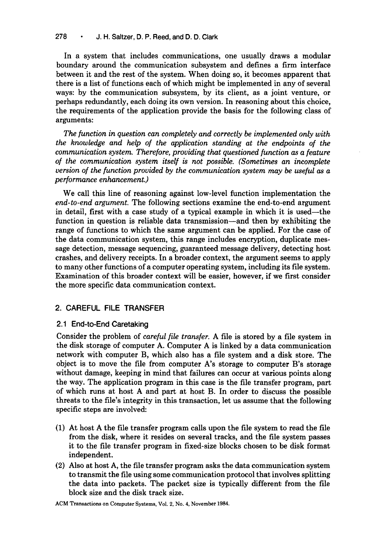In a system that includes communications, one usually draws a modular boundary around the communication subsystem and defines a firm interface between it and the rest of the system. When doing so, it becomes apparent that there is a list of functions each of which might be implemented in any of several ways: by the communication subsystem, by its client, as a joint venture, or perhaps redundantly, each doing its own version. In reasoning about this choice, the requirements of the application provide the basis for the following class of arguments:

*The function in question can completely and correctly be implemented only with the knowledge and help of the application standing at the endpoints of the communication system. Therefore, providing that questioned function as a feature of the communication system itself is not possible. (Sometimes an incomplete version of the function provided by the communication system may be useful as a performance enhancement.)* 

We call this line of reasoning against low-level function implementation the *end-to-end argument.* The following sections examine the end-to-end argument in detail, first with a case study of a typical example in which it is used--the function in question is reliable data transmission—and then by exhibiting the range of functions to which the same argument can be applied. For the case of the data communication system, this range includes encryption, duplicate message detection, message sequencing, guaranteed message delivery, detecting host crashes, and delivery receipts. In a broader context, the argument seems to apply to many other functions of a computer operating system, including its file system. Examination of this broader context will be easier, however, if we first consider the more specific data communication context.

# 2. CAREFUL FILE TRANSFER

## 2.1 End-to-End Caretaking

Consider the problem of *careful file transfer.* A file is stored by a file system in the disk storage of computer A. Computer A is linked by a data communication network with computer B, which also has a file system and a disk store. The object is to move the file from computer A's storage to computer B's storage without damage, keeping in mind that failures can occur at various points along the way. The application program in this case is the file transfer program, part of which runs at host A and part at host B. In order to discuss the possible threats to the file's integrity in this transaction, let us assume that the following specific steps are involved:

- (I) At host A the file transfer program calls upon the file system to read the file from the disk, where it resides on several tracks, and the file system passes it to the file transfer program in fixed-size blocks chosen to be disk format independent.
- (2) Also at host A, the file transfer program asks the data communication system to transmit the file using some communication protocol that involves splitting the data into packets. The packet size is typically different from the file block size and the disk track size.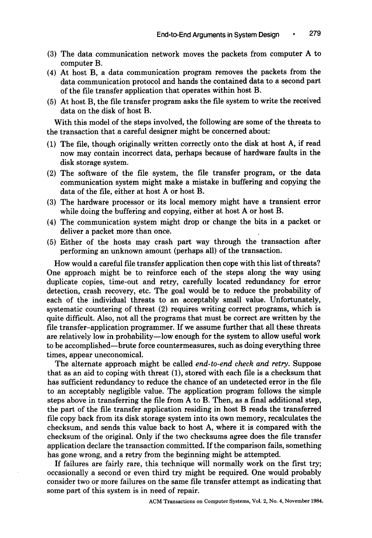- (3) The data communication network moves the packets from computer A to computer B.
- (4) At host B, a data communication program removes the packets from the data communication protocol and hands the contained data to a second part of the file transfer application that operates within host B.
- (5) At host B, the file transfer program asks the file system to write the received data on the disk of host B.

With this model of the steps involved, the following are some of the threats to the transaction that a careful designer might be concerned about:

- (1) The file, though originally written correctly onto the disk at host A, if read now may contain incorrect data, perhaps because of hardware faults in the disk storage system.
- (2) The software of the file system, the file transfer program, or the data communication system might make a mistake in buffering and copying the data of the file, either at host A or host B.
- (3) The hardware processor or its local memory might have a transient error while doing the buffering and copying, either at host A or host B.
- (4) The communication system might drop or change the bits in a packet or deliver a packet more than once.
- (5) Either of the hosts may crash part way through the transaction after performing an unknown amount (perhaps all) of the transaction.

How would a careful file transfer application then cope with this list of threats? One approach might be to reinforce each of the steps along the way using duplicate copies, time-out and retry, carefully located redundancy for error detection, crash recovery, etc. The goal would be to reduce the probability of each of the individual threats to an acceptably small value. Unfortunately, systematic countering of threat (2) requires writing correct programs, which is quite difficult. Also, not all the programs that must be correct are written by the file transfer-application programmer. If we assume further that all these threats are relatively low in probability--low enough for the system to allow useful work to be accomplished--brute force countermeasures, such as doing everything three times, appear uneconomical.

The alternate approach might be called *end-to-end check and retry.* Suppose that as an aid to coping with threat (1), stored with each file is a checksum that has sufficient redundancy to reduce the chance of an undetected error in the file to an acceptably negligible value. The application program follows the simple steps above in transferring the file from A to B. Then, as a final additional step, the part of the file transfer application residing in host B reads the transferred file copy back from its disk storage system into its own memory, recalculates the checksum, and sends this value back to host A, where it is compared with the checksum of the original. Only if the two checksums agree does the file transfer application declare the transaction committed. If the comparison fails, something has gone wrong, and a retry from the beginning might be attempted.

If failures are fairly rare, this technique will normally work on the first try; occasionally a second or even third try might be required. One would probably consider two or more failures on the same file transfer attempt as indicating that some part of this system is in need of repair.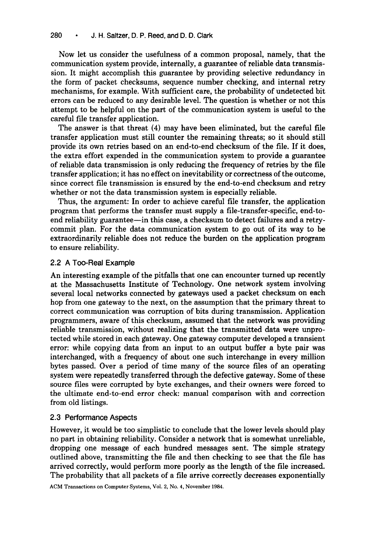Now let us consider the usefulness of a common proposal, namely, that the communication system provide, internally, a guarantee of reliable data transmission. It might accomplish this guarantee by providing selective redundancy in the form of packet checksums, sequence number checking, and internal retry mechanisms, for example. With sufficient care, the probability of undetected bit errors can be reduced to any desirable level. The question is whether or not this attempt to be helpful on the part of the communication system is useful to the careful file transfer application.

The answer is that threat (4) may have been eliminated, but the careful file transfer application must still counter the remaining threats; so it should still provide its own retries based on an end-to-end checksum of the file. If it does, the extra effort expended in the communication system to provide a guarantee of reliable data transmission is only reducing the frequency of retries by the file transfer application; it has no effect on inevitability or correctness of the outcome, since correct file transmission is ensured by the end-to-end checksum and retry whether or not the data transmission system is especially reliable.

Thus, the argument: In order to achieve careful file transfer, the application program that performs the transfer must supply a file-transfer-specific, end-toend reliability guarantee--in this case, a checksum to detect failures and a retrycommit plan. For the data communication system to go out of its way to be extraordinarily reliable does not reduce the burden on the application program to ensure reliability.

## 2.2 A Too-Real Example

An interesting example of the pitfalls that one can encounter turned up recently at the Massachusetts Institute of Technology. One network system involving several local networks connected by gateways used a packet checksum on each hop from one gateway to the next, on the assumption that the primary threat to correct communication was corruption of bits during transmission. Application programmers, aware of this checksum, assumed that the network was providing reliable transmission, without realizing that the transmitted data were unprotected while stored in each gateway. One gateway computer developed a transient error: while copying data from an input to an output buffer a byte pair was interchanged, with a frequency of about one such interchange in every million bytes passed. Over a period of time many of the source files of an operating system were repeatedly transferred through the defective gateway. Some of these source files were corrupted by byte exchanges, and their owners were forced to the ultimate end-to-end error check: manual comparison with and correction from old listings.

## 2.3 Performance Aspects

However, it would be too simplistic to conclude that the lower levels should play no part in obtaining reliability. Consider a network that is somewhat unreliable, dropping one message of each hundred messages sent. The simple strategy outlined above, transmitting the file and then checking to see that the file has arrived correctly, would perform more poorly as the length of the file increased. The probability that all packets of a file arrive correctly decreases exponentially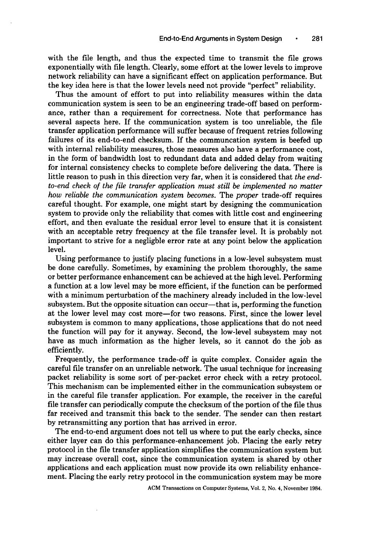with the file length, and thus the expected time to transmit the file grows exponentially with file length. Clearly, some effort at the lower levels to improve network reliability can have a significant effect on application performance. But the key idea here is that the lower levels need not provide "perfect" reliability.

Thus the amount of effort to put into reliability measures within the data communication system is seen to be an engineering trade-off based on performance, rather than a requirement for correctness. Note that performance has several aspects here. If the communication system is too unreliable, the file transfer application performance will suffer because of frequent retries following failures of its end-to-end checksum. If the communcation system is beefed up with internal reliability measures, those measures also have a performance cost, in the form of bandwidth lost to redundant data and added delay from waiting for internal consistency checks to complete before delivering the data. There is little reason to push in this direction very far, when it is considered that *the endto-end check of the file transfer application must still be implemented no matter how reliable the communication system becomes.* The *proper* trade-off requires careful thought. For example, one might start by designing the communication system to provide only the reliability that comes with little cost and engineering effort, and then evaluate the residual error level to ensure that it is consistent with an acceptable retry frequency at the file transfer level. It is probably not important to strive for a negligble error rate at any point below the application level.

Using performance to justify placing functions in a low-level subsystem must be done carefully. Sometimes, by examining the problem thoroughly, the same or better performance enhancement can be achieved at the high level. Performing a function at a low level may be more efficient, if the function can be performed with a minimum perturbation of the machinery already included in the low-level subsystem. But the opposite situation can occur—that is, performing the function at the lower level may cost more--for two reasons. First, since the lower level subsystem is common to many applications, those applications that do not need the function will pay for it anyway. Second, the low-level subsystem may not have as much information as the higher levels, so it cannot do the job as efficiently.

Frequently, the performance trade-off is quite complex. Consider again the careful file transfer on an unreliable network. The usual technique for increasing packet reliability is some sort of per-packet error check with a retry protocol. This mechanism can be implemented either in the communication subsystem or in the careful file transfer application. For example, the receiver in the careful file transfer can periodically compute the checksum of the portion of the file thus far received and transmit this back to the sender. The sender can then restart by retransmitting any portion that has arrived in error.

The end-to-end argument does not tell us where to put the early checks, since either layer can do this performance-enhancement job. Placing the early retry protocol in the file transfer application simplifies the communication system but may increase overall cost, since the communication system is shared by other applications and each application must now provide its own reliability enhancement. Placing the early retry protocol in the communication system may be more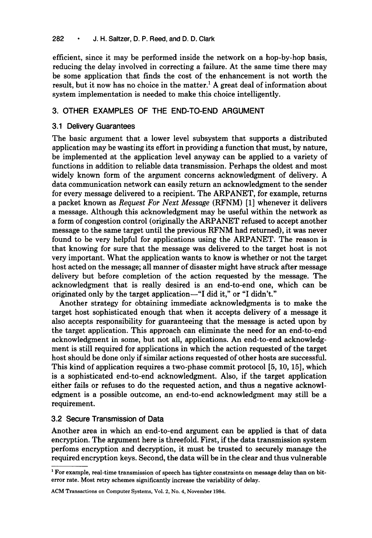efficient, since it may be performed inside the network on a hop-by-hop basis, reducing the delay involved in correcting a failure. At the same time there may be some application that finds the cost of the enhancement is not worth the result, but it now has no choice in the matter.<sup>1</sup> A great deal of information about system implementation is needed to make this choice intelligently.

# 3. OTHER EXAMPLES OF THE END-TO-END ARGUMENT

# 3.1 Delivery Guarantees

The basic argument that a lower level subsystem that supports a distributed application may be wasting its effort in providing a function that must, by nature, be implemented at the application level anyway can be applied to a variety of functions in addition to reliable data transmission. Perhaps the oldest and most widely known form of the argument concerns acknowledgment of delivery. A data communication network can easily return an acknowledgment to the sender for every message delivered to a recipient. The ARPANET, for example, returns a packet known as *Request For Next Message* (RFNM) [1] whenever it delivers a message. Although this acknowledgment may be useful within the network as a form of congestion control (originally the ARPANET refused to accept another message to the same target until the previous RFNM had returned), it was never found to be very helpful for applications using the ARPANET. The reason is that knowing for sure that the message was delivered to the target host is not very important. What the application wants to know is whether or not the target host acted on the message; all manner of disaster might have struck after message delivery but before completion of the action requested by the message. The acknowledgment that is really desired is an end-to-end one, which can be originated only by the target application-"I did it," or "I didn't."

Another strategy for obtaining immediate acknowledgments is to make the target host sophisticated enough that when it accepts delivery of a message it also accepts responsibility for guaranteeing that the message is acted upon by the target application. This approach can eliminate the need for an end-to-end acknowledgment in some, but not all, applications. An end-to-end acknowledgment is still required for applications in which the action requested of the target host should be done only if similar actions requested of other hosts are successful. This kind of application requires a two-phase commit protocol [5, 10, 15], which is a sophisticated end-to-end acknowledgment. Also, if the target application either fails or refuses to do the requested action, and thus a negative acknowledgment is a possible outcome, an end-to-end acknowledgment may still be a requirement.

# **3.2 Secure Transmission of** Data

Another area in which an end-to-end argument can be applied is that of data encryption. The argument here is threefold. First, if the data transmission system perfoms encryption and decryption, it must be trusted to securely manage the required encryption keys. Second, the data will be in the clear and thus vulnerable

<sup>&</sup>lt;sup>1</sup> For example, real-time transmission of speech has tighter constraints on message delay than on biterror rate. Most retry schemes significantly increase the variability of delay.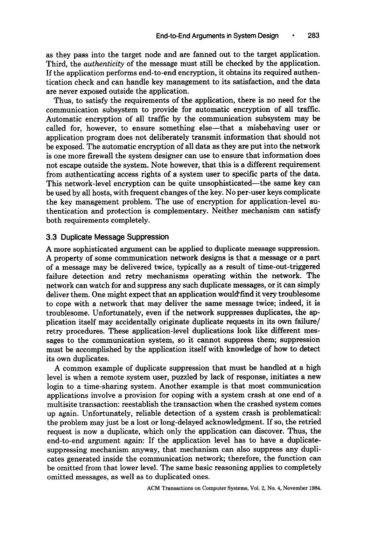as they pass into the target node and are fanned out to the target application. Third, the *authenticity* of the message must still be checked by the application. If the application performs end-to-end encryption, it obtains its required authentication check and can handle key management to its satisfaction, and the data are never exposed outside the application.

Thus, to satisfy the requirements of the application, there is no need for the communication subsystem to provide for automatic encryption of all traffic. Automatic encryption of all traffic by the communication subsystem may be called for, however, to ensure something else—that a misbehaving user or application program does not deliberately transmit information that should not be exposed. The automatic encryption of all data as they are put into the network is one more firewall the system designer can use to ensure that information does not escape outside the system. Note however, that this is a different requirement from authenticating access rights of a system user to specific parts of the data. This network-level encryption can be quite unsophisticated--the same key can be used by all hosts, with frequent changes of the key. No per-user keys complicate the key management problem. The use of encryption for application-level authentication and protection is complementary. Neither mechanism can satisfy both requirements completely.

#### 3.3 Duplicate Message Suppression

A more sophisticated argument can be applied to duplicate message suppression. A property of some communication network designs is that a message or a part of a message may be delivered twice, typically as a result of time-out-triggered failure detection and retry mechanisms operating within the network. The network can watch for and suppress any such duplicate messages, or it can simply deliver them. One might expect that an application would'find it very troublesome to cope with a network that may deliver the same message twice; indeed, it is troublesome. Unfortunately, even if the network suppresses duplicates, the application itself may accidentally originate duplicate requests in its own failure/ retry procedures. These application-level duplications look like different messages to the communication system, so it cannot suppress them; suppression must be accomplished by the application itself with knowledge of how to detect its own duplicates.

A common example of duplicate suppression that must be handled at a high level is when a remote system user, puzzled by lack of response, initiates a new login to a time-sharing system. Another example is that most communication applications involve a provision for coping with a system crash at one end of a multisite transaction: reestablish the transaction when the crashed system comes up again. Unfortunately, reliable detection of a system crash is problematical: the problem may just be a lost or long-delayed acknowledgment. If so, the retried request is now a duplicate, which only the application can discover. Thus, the end-to-end argument again: If the application level has to have a duplicatesuppressing mechanism anyway, that mechanism can also suppress any duplicates generated inside the communication network; therefore, the function can be omitted from that lower level. The same basic reasoning applies to completely omitted messages, as well as to duplicated ones.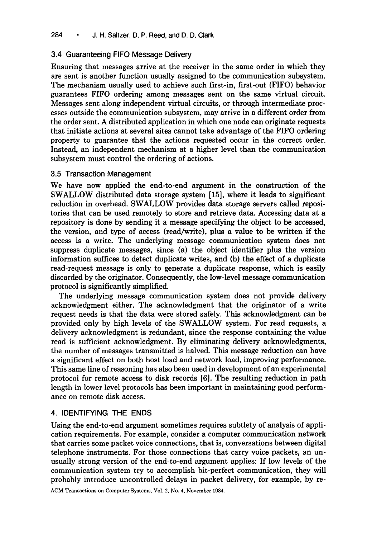# 3.4 Guaranteeing FIFO Message Delivery

Ensuring that messages arrive at the receiver in the same order in which they are sent is another function usually assigned to the communication subsystem. The mechanism usually used to achieve such first-in, first-out (FIFO) behavior guarantees FIFO ordering among messages sent on the same virtual circuit. Messages sent along independent virtual circuits, or through intermediate processes outside the communication subsystem, may arrive in a different order from the order sent. A distributed application in which one node can originate requests that initiate actions at several sites cannot take advantage of the FIFO ordering property to guarantee that the actions requested occur in the correct order. Instead, an independent mechanism at a higher level than the communication subsystem must control the ordering of actions.

# 3.5 Transaction Management

We have now applied the end-to-end argument in the construction of the SWALLOW distributed data storage system [15], where it leads to significant reduction in overhead. SWALLOW provides data storage servers called repositories that can be used remotely to store and retrieve data. Accessing data at a repository is done by sending it a message specifying the object to be accessed, the version, and type of access (read/write), plus a value to be written if the access is a write. The underlying message communication system does not suppress duplicate messages, since (a) the object identifier plus the version information suffices to detect duplicate writes, and (b) the effect of a duplicate read-request message is only to generate a duplicate response, which is easily discarded by the originator. Consequently, the low-level message communication protocol is significantly simplified.

The underlying message communication system does not provide delivery acknowledgment either. The acknowledgment that the originator of a write request needs is that the data were stored safely. This acknowledgment can be provided only by high levels of the SWALLOW system. For read requests, a delivery acknowledgment is redundant, since the response containing the value read is sufficient acknowledgment. By eliminating delivery acknowledgments, the number of messages transmitted is halved. This message reduction can have a significant effect on both host load and network load, improving performance. This same line of reasoning has also been used in development of an experimental protocol for remote access to disk records [6]. The resulting reduction in path length in lower level protocols has been important in maintaining good performance on remote disk access.

# 4. IDENTIFYING THE ENDS

Using the end-to-end argument sometimes requires subtlety of analysis of application requirements. For example, consider a computer communication network that carries some packet voice connections, that is, conversations between digital telephone instruments. For those connections that carry voice packets, an unusually strong version of the end-to-end argument applies: If low levels of the communication system try to accomplish bit-perfect communication, they will probably introduce uncontrolled delays in packet delivery, for example, by re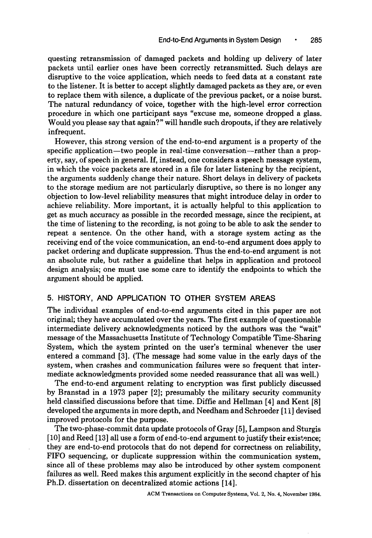questing retransmission of damaged packets and holding up delivery of later packets until earlier ones have been correctly retransmitted. Such delays are disruptive to the voice application, which needs to feed data at a constant rate to the listener. It is better to accept slightly damaged packets as they are, or even to replace them with silence, a duplicate of the previous packet, or a noise burst. The natural redundancy of voice, together with the high-level error correction procedure in which one participant says "excuse me, someone dropped a glass. Would you please say that again?" will handle such dropouts, if they are relatively infrequent.

However, this strong version of the end-to-end argument is a property of the specific application—two people in real-time conversation—rather than a property, say, of speech in general. If, instead, one considers a speech message system, in which the voice packets are stored in a file for later listening by the recipient, the arguments suddenly change their nature. Short delays in delivery of packets to the storage medium are not particularly disruptive, so there is no longer any objection to low-level reliability measures that might introduce delay in order to achieve reliability. More important, it is actually helpful to this application to get as much accuracy as possible in the recorded message, since the recipient, at the time of listening to the recording, is not going to be able to ask the sender to repeat a sentence. On the other hand, with a storage system acting as the receiving end of the voice communication, an end-to-end argument does apply to packet ordering and duplicate suppression. Thus the end-to-end argument is not an absolute rule, but rather a guideline that helps in application and protocol design analysis; one must use some care to identify the endpoints to which the argument should be applied.

## 5. HISTORY, AND APPLICATION TO OTHER SYSTEM AREAS

The individual examples of end-to-end arguments cited in this paper are not original; they have accumulated over the years. The first example of questionable intermediate delivery acknowledgments noticed by the authors was the "wait" message of the Massachusetts Institute of Technology Compatible Time-Sharing System, which the system printed on the user's terminal whenever the user entered a command [3]. {The message had some value in the early days of the system, when crashes and communication failures were so frequent that intermediate acknowledgments provided some needed reassurance that all was well.)

The end-to-end argument relating to encryption was first publicly discussed by Branstad in a 1973 paper [2]; presumably the military security community held classified discussions before that time. Diffie and Hellman [4] and Kent [8] developed the arguments in more depth, and Needham and Schroeder [11] devised improved protocols for the purpose.

The two-phase-commit data update protocols of Gray [5], Lampson and Sturgis [10] and Reed [13] all use a form of end-to-end argument to justify their existence; they are end-to-end protocols that do not depend for correctness on reliability, FIFO sequencing, or duplicate suppression within the communication system, since all of these problems may also be introduced by other system component failures as well. Reed makes this argument explicitly in the second chapter of his Ph.D. dissertation on decentralized atomic actions [14].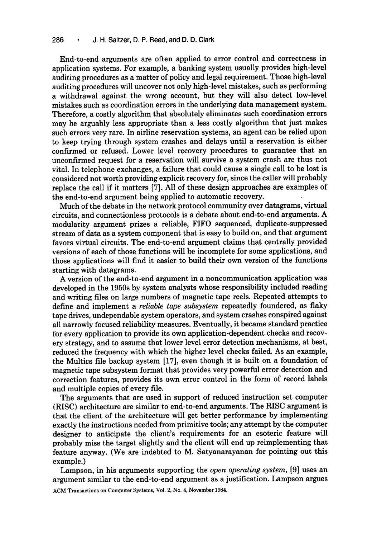End-to-end arguments are often applied to error control and correctness in application systems. For example, a banking system usually provides high-level auditing procedures as a matter of policy and legal requirement. Those high-level auditing procedures will uncover not only high-level mistakes, such as performing a withdrawal against the wrong account, but they will also detect low-level mistakes such as coordination errors in the underlying data management system. Therefore, a costly algorithm that absolutely eliminates such coordination errors may be arguably less appropriate than a less costly algorithm that just makes such errors very rare. In airline reservation systems, an agent can be relied upon to keep trying through system crashes and delays until a reservation is either confirmed or refused. Lower level recovery procedures to guarantee that an unconfirmed request for a reservation will survive a system crash are thus not vital. In telephone exchanges, a failure that could cause a single call to be lost is considered not worth providing explicit recovery for, since the caller will probably replace the call if it matters [7]. All of these design approaches are examples of the end-to-end argument being applied to automatic recovery.

Much of the debate in the network protocol community over datagrams, virtual circuits, and connectionless protocols is a debate about end-to-end arguments. A modularity argument prizes a reliable, FIFO sequenced, duplicate-suppressed stream of data as a system component that is easy to build on, and that argument favors virtual circuits. The end-to-end argument claims that centrally provided versions of each of those functions will be incomplete for some applications, and those applications will find it easier to build their own version of the functions starting with datagrams.

A version of the end-to-end argument in a noncommunication application was developed in the 1950s by system analysts whose responsibility included reading and writing files on large numbers of magnetic tape reels. Repeated attempts to define and implement a *reliable tape subsystem* repeatedly foundered, as flaky tape drives, undependable system operators, and system crashes conspired against all narrowly focused reliability measures. Eventually, it became standard practice for every application to provide its own application-dependent checks and recovery strategy, and to assume that lower level error detection mechanisms, at best, reduced the frequency with which the higher level checks failed. As an example, the Multics file backup system [17], even though it is built on a foundation of magnetic tape subsystem format that provides very powerful error detection and correction features, provides its own error control in the form of record labels and multiple copies of every file.

The arguments that are used in support of reduced instruction set computer (RISC) architecture are similar to end-to-end arguments. The RISC argument is that the client of the architecture will get better performance by implementing exactly the instructions needed from primitive tools; any attempt by the computer designer to anticipate the client's requirements for an esoteric feature will probably miss the target slightly and the client will end up reimplementing that feature anyway. (We are indebted to M. Satyanarayanan for pointing out this example.)

Lampson, in his arguments supporting the *open operating system,* [9] uses an argument similar to the end-to-end argument as a justification. Lampson argues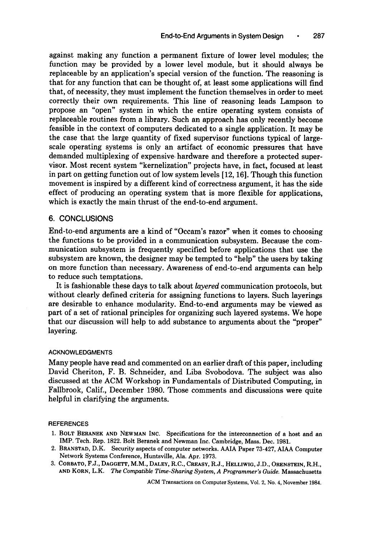against making any function a permanent fixture of lower level modules; the function may be provided by a lower level module, but it should always be replaceable by an application's special version of the function. The reasoning is that for any function that can be thought of, at least some applications will find that, of necessity, they must implement the function themselves in order to meet correctly their own requirements. This line of reasoning leads Lampson to propose an "open" system in which the entire operating system consists of replaceable routines from a library. Such an approach has only recently become feasible in the context of computers dedicated to a single application. It may be the case that the large quantity of fixed supervisor functions typical of largescale operating systems is only an artifact of economic pressures that have demanded multiplexing of expensive, hardware and therefore a protected supervisor. Most recent system "kernelization" projects have, in fact, focused at least in part on getting function out of low system levels [12, 16]. Though this function movement is inspired by a different kind of correctness argument, it has the side effect of producing an operating system that is more flexible for applications, which is exactly the main thrust of the end-to-end argument.

#### 6. CONCLUSIONS

End-to-end arguments are a kind of "Occam's razor" when it comes to choosing the functions to be provided in a communication subsystem. Because the communication subsystem is frequently specified before applications that use the subsystem are known, the designer may be tempted to "help" the users by taking on more function than necessary. Awareness of end-to-end arguments can help to reduce such temptations.

It is fashionable these days to talk about *layered* communication protocols, but without clearly defined criteria for assigning functions to layers. Such layerings are desirable to enhance modularity. End-to-end arguments may be viewed as part of a set of rational principles for organizing such layered systems. We hope that our discussion will help to add substance to arguments about the "proper" layering.

#### ACKNOWLEDGMENTS

Many people have read and commented on an earlier draft of this paper, including David Cheriton, F. B. Schneider, and Liba Svobodova. The subject was also discussed at the ACM Workshop in Fundamentals of Distributed Computing, in Fallbrook, Calif., December 1980. Those comments and discussions were quite helpful in clarifying the arguments.

#### **REFERENCES**

- 1. BOLT BERANEK AND NEWMAN INC. Specifications for the interconnection of a host and an IMP. Tech. Rep. 1822. Bolt Beranek and Newman Inc. Cambridge, Mass. Dec. 1981.
- 2. BRANSTAD, D.K. Security aspects of computer networks. AAIA Paper 73-427, AIAA Computer Network Systems Conference, Huntsville, Ala. Apr. 1973.
- 3. CORBATO, F.J., DAGGETT, M.M., DALEY, R.C., CREASY, R.J., HELLIWIG, J.D., ORENSTEIN, R.H., AND KORN, L.K. *The Compatible Time-Sharing System, A Programmer's Guide.* Massachusetts